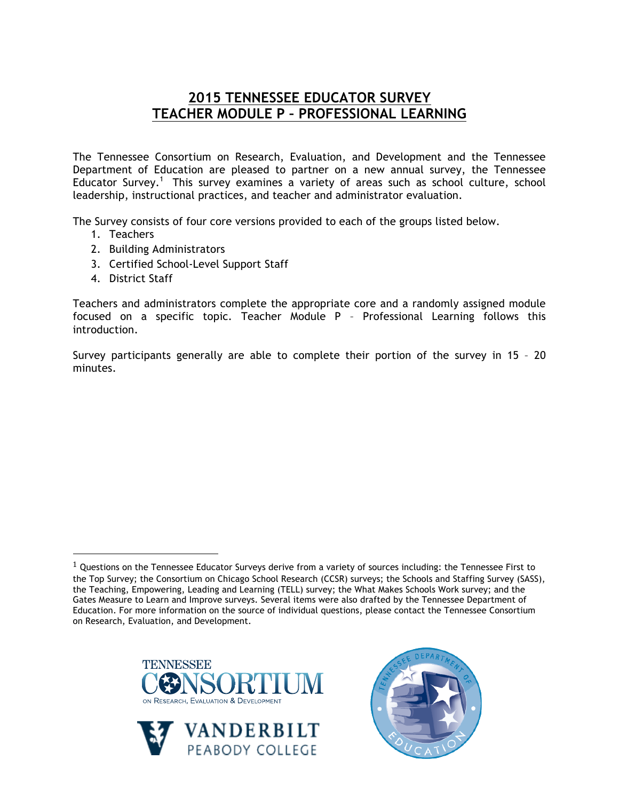## **2015 TENNESSEE EDUCATOR SURVEY TEACHER MODULE P – PROFESSIONAL LEARNING**

The Tennessee Consortium on Research, Evaluation, and Development and the Tennessee Department of Education are pleased to partner on a new annual survey, the Tennessee Educator Survey.<sup>1</sup> This survey examines a variety of areas such as school culture, school leadership, instructional practices, and teacher and administrator evaluation.

The Survey consists of four core versions provided to each of the groups listed below.

- 1. Teachers
- 2. Building Administrators
- 3. Certified School-Level Support Staff
- 4. District Staff

!!!!!!!!!!!!!!!!!!!!!!!!!!!!!!!!!!!!!!!!!!!!!!!!!!!!!!!

Teachers and administrators complete the appropriate core and a randomly assigned module focused on a specific topic. Teacher Module P – Professional Learning follows this introduction.

Survey participants generally are able to complete their portion of the survey in 15 – 20 minutes.

 $1$  Questions on the Tennessee Educator Surveys derive from a variety of sources including: the Tennessee First to the Top Survey; the Consortium on Chicago School Research (CCSR) surveys; the Schools and Staffing Survey (SASS), the Teaching, Empowering, Leading and Learning (TELL) survey; the What Makes Schools Work survey; and the Gates Measure to Learn and Improve surveys. Several items were also drafted by the Tennessee Department of Education. For more information on the source of individual questions, please contact the Tennessee Consortium on Research, Evaluation, and Development.





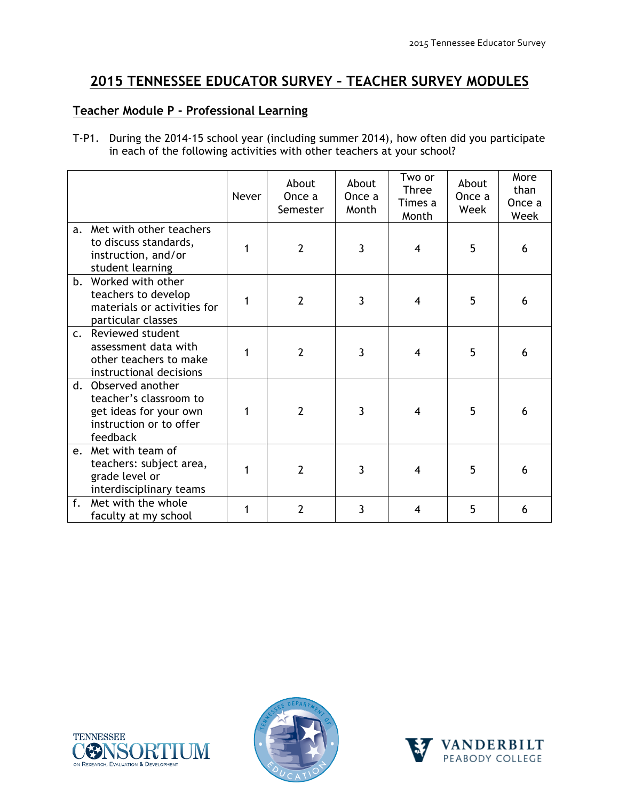# **2015 TENNESSEE EDUCATOR SURVEY – TEACHER SURVEY MODULES**

#### **Teacher Module P - Professional Learning**

T-P1. During the 2014-15 school year (including summer 2014), how often did you participate in each of the following activities with other teachers at your school?

|                |                                                                                                             | Never | About<br>Once a<br>Semester | About<br>Once a<br>Month | Two or<br><b>Three</b><br>Times a<br>Month | About<br>Once a<br>Week | More<br>than<br>Once a<br>Week |
|----------------|-------------------------------------------------------------------------------------------------------------|-------|-----------------------------|--------------------------|--------------------------------------------|-------------------------|--------------------------------|
| a.             | Met with other teachers<br>to discuss standards,<br>instruction, and/or<br>student learning                 |       | $\overline{2}$              | $\overline{3}$           | 4                                          | 5                       | 6                              |
| b.             | Worked with other<br>teachers to develop<br>materials or activities for<br>particular classes               | 1     | $\overline{2}$              | 3                        | 4                                          | 5                       | 6                              |
| C <sub>1</sub> | Reviewed student<br>assessment data with<br>other teachers to make<br>instructional decisions               |       | $\overline{2}$              | 3                        | 4                                          | 5                       | 6                              |
| $d_{-}$        | Observed another<br>teacher's classroom to<br>get ideas for your own<br>instruction or to offer<br>feedback |       | $\overline{2}$              | 3                        | 4                                          | 5                       | 6                              |
| e <sub>1</sub> | Met with team of<br>teachers: subject area,<br>grade level or<br>interdisciplinary teams                    |       | $\overline{2}$              | 3                        | 4                                          | 5                       | 6                              |
| f.             | Met with the whole<br>faculty at my school                                                                  | 1     | $\overline{2}$              | 3                        | 4                                          | 5                       | 6                              |





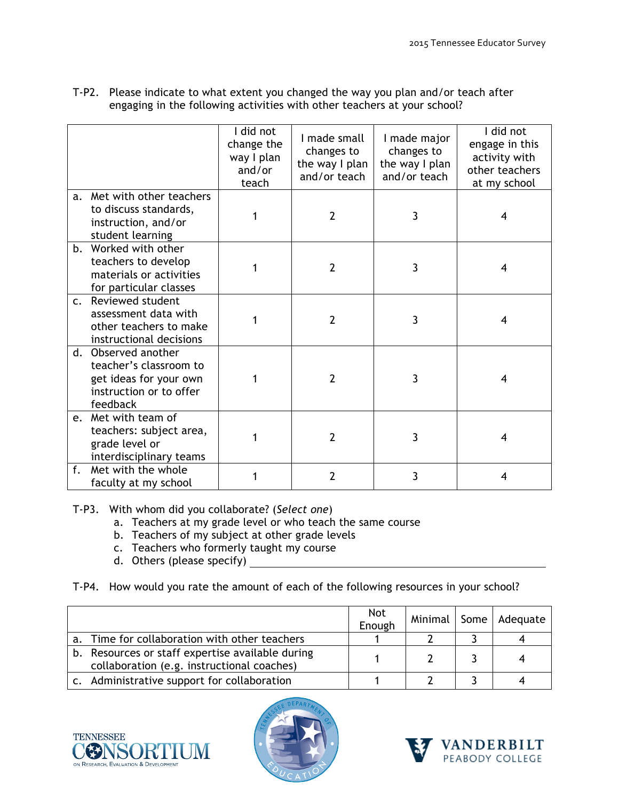|                |                                                                                                             | I did not<br>change the<br>way I plan<br>and/or<br>teach | I made small<br>changes to<br>the way I plan<br>and/or teach | I made major<br>changes to<br>the way I plan<br>and/or teach | I did not<br>engage in this<br>activity with<br>other teachers<br>at my school |
|----------------|-------------------------------------------------------------------------------------------------------------|----------------------------------------------------------|--------------------------------------------------------------|--------------------------------------------------------------|--------------------------------------------------------------------------------|
|                | a. Met with other teachers<br>to discuss standards,<br>instruction, and/or<br>student learning              |                                                          | $\overline{2}$                                               | 3                                                            | 4                                                                              |
|                | b. Worked with other<br>teachers to develop<br>materials or activities<br>for particular classes            | 1                                                        | $\overline{2}$                                               | 3                                                            | 4                                                                              |
| $\mathsf{C}$ . | Reviewed student<br>assessment data with<br>other teachers to make<br>instructional decisions               |                                                          | $\overline{2}$                                               | 3                                                            | 4                                                                              |
| d.             | Observed another<br>teacher's classroom to<br>get ideas for your own<br>instruction or to offer<br>feedback |                                                          | $\overline{2}$                                               | 3                                                            | 4                                                                              |
| e.             | Met with team of<br>teachers: subject area,<br>grade level or<br>interdisciplinary teams                    |                                                          | $\overline{2}$                                               | 3                                                            | 4                                                                              |
| f.             | Met with the whole<br>faculty at my school                                                                  |                                                          | $\overline{2}$                                               | 3                                                            | 4                                                                              |

T-P2. Please indicate to what extent you changed the way you plan and/or teach after engaging in the following activities with other teachers at your school?

T-P3. With whom did you collaborate? (*Select one*)

- a. Teachers at my grade level or who teach the same course
- b. Teachers of my subject at other grade levels
- c. Teachers who formerly taught my course
- d. Others (please specify)
- T-P4. How would you rate the amount of each of the following resources in your school?

|    |                                                                                                | <b>Not</b><br>Enough | Minimal | Some   Adequate |
|----|------------------------------------------------------------------------------------------------|----------------------|---------|-----------------|
| a. | Time for collaboration with other teachers                                                     |                      |         |                 |
|    | b. Resources or staff expertise available during<br>collaboration (e.g. instructional coaches) |                      |         |                 |
|    | c. Administrative support for collaboration                                                    |                      |         |                 |





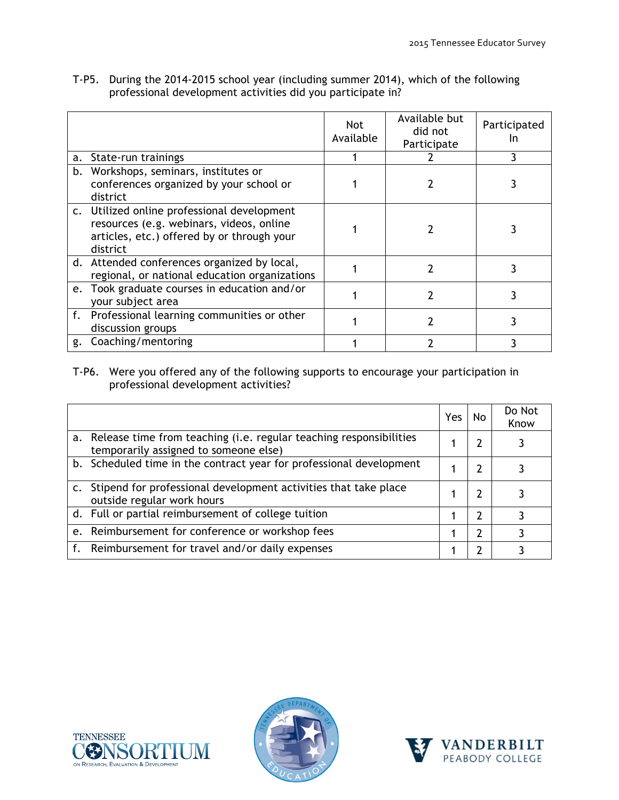T-P5. During the 2014-2015 school year (including summer 2014), which of the following professional development activities did you participate in?

|                                                                                                                                                   | <b>Not</b><br>Available | Available but<br>did not<br>Participate | Participated<br>In |
|---------------------------------------------------------------------------------------------------------------------------------------------------|-------------------------|-----------------------------------------|--------------------|
| a. State-run trainings                                                                                                                            |                         |                                         |                    |
| b. Workshops, seminars, institutes or<br>conferences organized by your school or<br>district                                                      |                         |                                         |                    |
| c. Utilized online professional development<br>resources (e.g. webinars, videos, online<br>articles, etc.) offered by or through your<br>district |                         |                                         |                    |
| d. Attended conferences organized by local,<br>regional, or national education organizations                                                      |                         |                                         |                    |
| e. Took graduate courses in education and/or<br>your subject area                                                                                 |                         |                                         |                    |
| f. Professional learning communities or other<br>discussion groups                                                                                |                         |                                         |                    |
| g. Coaching/mentoring                                                                                                                             |                         |                                         |                    |

#### T-P6. Were you offered any of the following supports to encourage your participation in professional development activities?

|                                                                                                                | Yes. | No. | Do Not<br>Know |
|----------------------------------------------------------------------------------------------------------------|------|-----|----------------|
| a. Release time from teaching (i.e. regular teaching responsibilities<br>temporarily assigned to someone else) |      |     |                |
| b. Scheduled time in the contract year for professional development                                            |      |     |                |
| Stipend for professional development activities that take place<br>outside regular work hours                  |      |     |                |
| d. Full or partial reimbursement of college tuition                                                            |      |     |                |
| e. Reimbursement for conference or workshop fees                                                               |      | 7   |                |
| f. Reimbursement for travel and/or daily expenses                                                              |      |     |                |





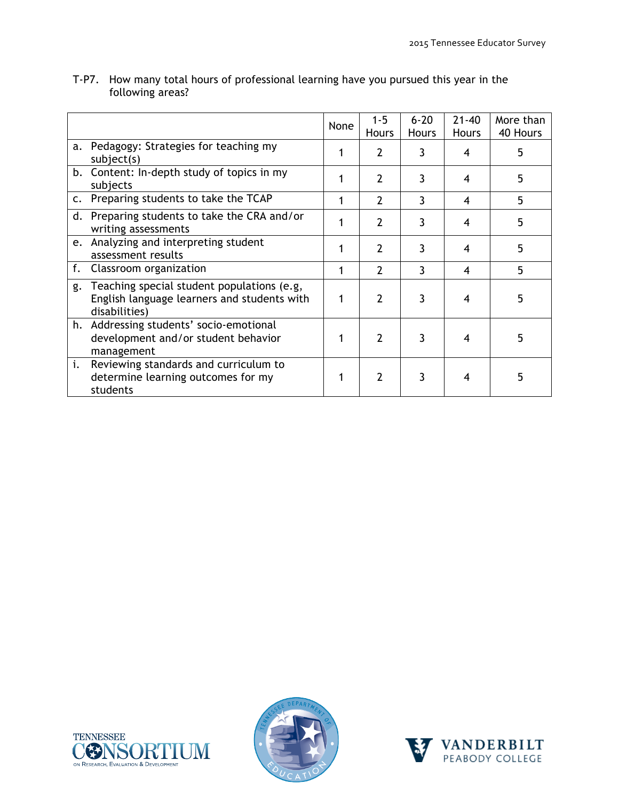|                |                                                                                                            | None | $1 - 5$<br><b>Hours</b> | $6 - 20$<br><b>Hours</b> | $21 - 40$<br><b>Hours</b> | More than<br>40 Hours |
|----------------|------------------------------------------------------------------------------------------------------------|------|-------------------------|--------------------------|---------------------------|-----------------------|
| a.             | Pedagogy: Strategies for teaching my<br>subject(s)                                                         |      | 2                       |                          | 4                         | 5                     |
|                | b. Content: In-depth study of topics in my<br>subjects                                                     |      | 2                       | 3                        | 4                         | 5                     |
| $\mathsf{C}$ . | Preparing students to take the TCAP                                                                        |      | $\overline{2}$          | 3                        | 4                         | 5                     |
| d.             | Preparing students to take the CRA and/or<br>writing assessments                                           |      | 2                       | 3                        | 4                         | 5                     |
|                | e. Analyzing and interpreting student<br>assessment results                                                |      | 2                       | 3                        | 4                         | 5                     |
| f.             | Classroom organization                                                                                     |      | 2                       | 3                        | 4                         | 5                     |
| g.             | Teaching special student populations (e.g,<br>English language learners and students with<br>disabilities) |      | $\overline{2}$          | 3                        |                           | 5                     |
|                | h. Addressing students' socio-emotional<br>development and/or student behavior<br>management               |      | 2                       | 3                        | 4                         | 5                     |
| i.             | Reviewing standards and curriculum to<br>determine learning outcomes for my<br>students                    |      | 2                       | 3                        |                           | 5                     |

T-P7. How many total hours of professional learning have you pursued this year in the following areas?